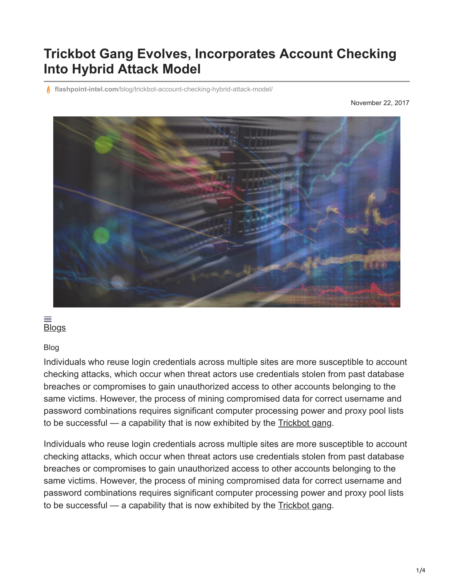## **Trickbot Gang Evolves, Incorporates Account Checking Into Hybrid Attack Model**

**flashpoint-intel.com**[/blog/trickbot-account-checking-hybrid-attack-model/](https://www.flashpoint-intel.com/blog/trickbot-account-checking-hybrid-attack-model/)

November 22, 2017



## $\equiv$ **[Blogs](https://www.flashpoint-intel.com/blog)**

## Blog

Individuals who reuse login credentials across multiple sites are more susceptible to account checking attacks, which occur when threat actors use credentials stolen from past database breaches or compromises to gain unauthorized access to other accounts belonging to the same victims. However, the process of mining compromised data for correct username and password combinations requires significant computer processing power and proxy pool lists to be successful — a capability that is now exhibited by the [Trickbot gang.](https://www.flashpoint-intel.com/?p=3013)

Individuals who reuse login credentials across multiple sites are more susceptible to account checking attacks, which occur when threat actors use credentials stolen from past database breaches or compromises to gain unauthorized access to other accounts belonging to the same victims. However, the process of mining compromised data for correct username and password combinations requires significant computer processing power and proxy pool lists to be successful — a capability that is now exhibited by the [Trickbot gang.](https://www.flashpoint-intel.com/?p=3013)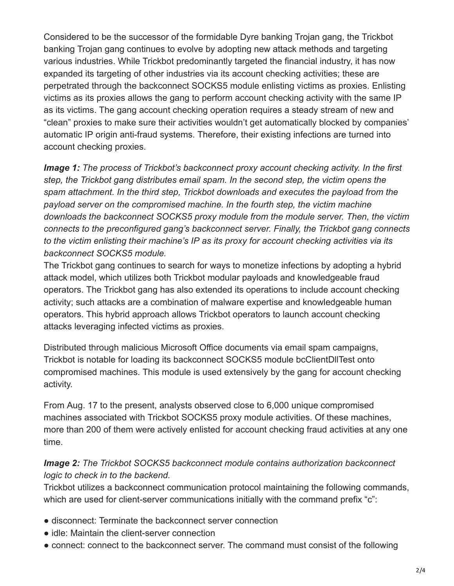Considered to be the successor of the formidable Dyre banking Trojan gang, the Trickbot banking Trojan gang continues to evolve by adopting new attack methods and targeting various industries. While Trickbot predominantly targeted the financial industry, it has now expanded its targeting of other industries via its account checking activities; these are perpetrated through the backconnect SOCKS5 module enlisting victims as proxies. Enlisting victims as its proxies allows the gang to perform account checking activity with the same IP as its victims. The gang account checking operation requires a steady stream of new and "clean" proxies to make sure their activities wouldn't get automatically blocked by companies' automatic IP origin anti-fraud systems. Therefore, their existing infections are turned into account checking proxies.

*Image 1: The process of Trickbot's backconnect proxy account checking activity. In the first step, the Trickbot gang distributes email spam. In the second step, the victim opens the spam attachment. In the third step, Trickbot downloads and executes the payload from the payload server on the compromised machine. In the fourth step, the victim machine downloads the backconnect SOCKS5 proxy module from the module server. Then, the victim connects to the preconfigured gang's backconnect server. Finally, the Trickbot gang connects to the victim enlisting their machine's IP as its proxy for account checking activities via its backconnect SOCKS5 module.*

The Trickbot gang continues to search for ways to monetize infections by adopting a hybrid attack model, which utilizes both Trickbot modular payloads and knowledgeable fraud operators. The Trickbot gang has also extended its operations to include account checking activity; such attacks are a combination of malware expertise and knowledgeable human operators. This hybrid approach allows Trickbot operators to launch account checking attacks leveraging infected victims as proxies.

Distributed through malicious Microsoft Office documents via email spam campaigns, Trickbot is notable for loading its backconnect SOCKS5 module bcClientDllTest onto compromised machines. This module is used extensively by the gang for account checking activity.

From Aug. 17 to the present, analysts observed close to 6,000 unique compromised machines associated with Trickbot SOCKS5 proxy module activities. Of these machines, more than 200 of them were actively enlisted for account checking fraud activities at any one time.

## *Image 2: The Trickbot SOCKS5 backconnect module contains authorization backconnect logic to check in to the backend.*

Trickbot utilizes a backconnect communication protocol maintaining the following commands, which are used for client-server communications initially with the command prefix "c":

- disconnect: Terminate the backconnect server connection
- idle: Maintain the client-server connection
- connect: connect to the backconnect server. The command must consist of the following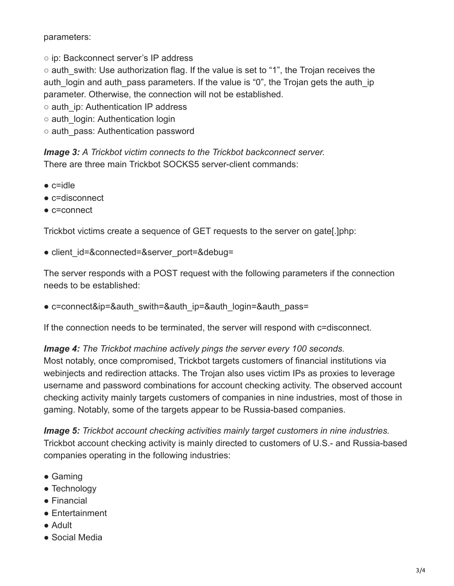parameters:

○ ip: Backconnect server's IP address

○ auth swith: Use authorization flag. If the value is set to "1", the Trojan receives the auth login and auth pass parameters. If the value is "0", the Trojan gets the auth ip parameter. Otherwise, the connection will not be established.

- auth\_ip: Authentication IP address
- auth\_login: Authentication login
- auth\_pass: Authentication password

*Image 3: A Trickbot victim connects to the Trickbot backconnect server.* There are three main Trickbot SOCKS5 server-client commands:

- $\bullet$  c=idle
- c=disconnect
- c=connect

Trickbot victims create a sequence of GET requests to the server on gate[.]php:

• client id=&connected=&server port=&debug=

The server responds with a POST request with the following parameters if the connection needs to be established:

• c=connect&ip=&auth\_swith=&auth\_ip=&auth\_login=&auth\_pass=

If the connection needs to be terminated, the server will respond with c=disconnect.

*Image 4: The Trickbot machine actively pings the server every 100 seconds.*

Most notably, once compromised, Trickbot targets customers of financial institutions via webinjects and redirection attacks. The Trojan also uses victim IPs as proxies to leverage username and password combinations for account checking activity. The observed account checking activity mainly targets customers of companies in nine industries, most of those in gaming. Notably, some of the targets appear to be Russia-based companies.

*Image 5: Trickbot account checking activities mainly target customers in nine industries.* Trickbot account checking activity is mainly directed to customers of U.S.- and Russia-based companies operating in the following industries:

- Gaming
- Technology
- Financial
- Entertainment
- Adult
- Social Media